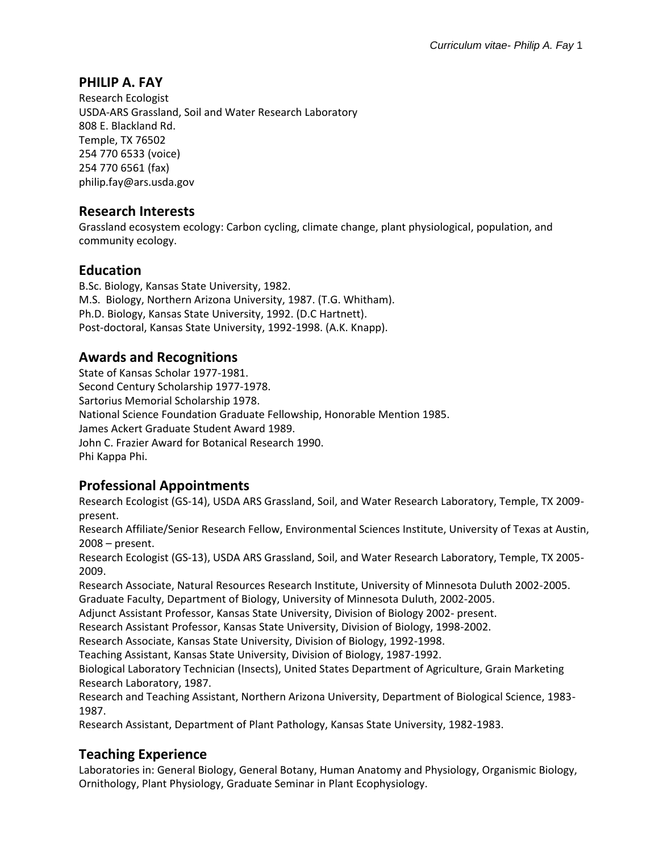# **PHILIP A. FAY**

Research Ecologist USDA-ARS Grassland, Soil and Water Research Laboratory 808 E. Blackland Rd. Temple, TX 76502 254 770 6533 (voice) 254 770 6561 (fax) philip.fay@ars.usda.gov

### **Research Interests**

Grassland ecosystem ecology: Carbon cycling, climate change, plant physiological, population, and community ecology.

### **Education**

B.Sc. Biology, Kansas State University, 1982. M.S. Biology, Northern Arizona University, 1987. (T.G. Whitham). Ph.D. Biology, Kansas State University, 1992. (D.C Hartnett). Post-doctoral, Kansas State University, 1992-1998. (A.K. Knapp).

## **Awards and Recognitions**

State of Kansas Scholar 1977-1981. Second Century Scholarship 1977-1978. Sartorius Memorial Scholarship 1978. National Science Foundation Graduate Fellowship, Honorable Mention 1985. James Ackert Graduate Student Award 1989. John C. Frazier Award for Botanical Research 1990. Phi Kappa Phi.

## **Professional Appointments**

Research Ecologist (GS-14), USDA ARS Grassland, Soil, and Water Research Laboratory, Temple, TX 2009 present.

Research Affiliate/Senior Research Fellow, Environmental Sciences Institute, University of Texas at Austin, 2008 – present.

Research Ecologist (GS-13), USDA ARS Grassland, Soil, and Water Research Laboratory, Temple, TX 2005- 2009.

Research Associate, Natural Resources Research Institute, University of Minnesota Duluth 2002-2005. Graduate Faculty, Department of Biology, University of Minnesota Duluth, 2002-2005.

Adjunct Assistant Professor, Kansas State University, Division of Biology 2002- present.

Research Assistant Professor, Kansas State University, Division of Biology, 1998-2002.

Research Associate, Kansas State University, Division of Biology, 1992-1998.

Teaching Assistant, Kansas State University, Division of Biology, 1987-1992.

Biological Laboratory Technician (Insects), United States Department of Agriculture, Grain Marketing Research Laboratory, 1987.

Research and Teaching Assistant, Northern Arizona University, Department of Biological Science, 1983- 1987.

Research Assistant, Department of Plant Pathology, Kansas State University, 1982-1983.

# **Teaching Experience**

Laboratories in: General Biology, General Botany, Human Anatomy and Physiology, Organismic Biology, Ornithology, Plant Physiology, Graduate Seminar in Plant Ecophysiology.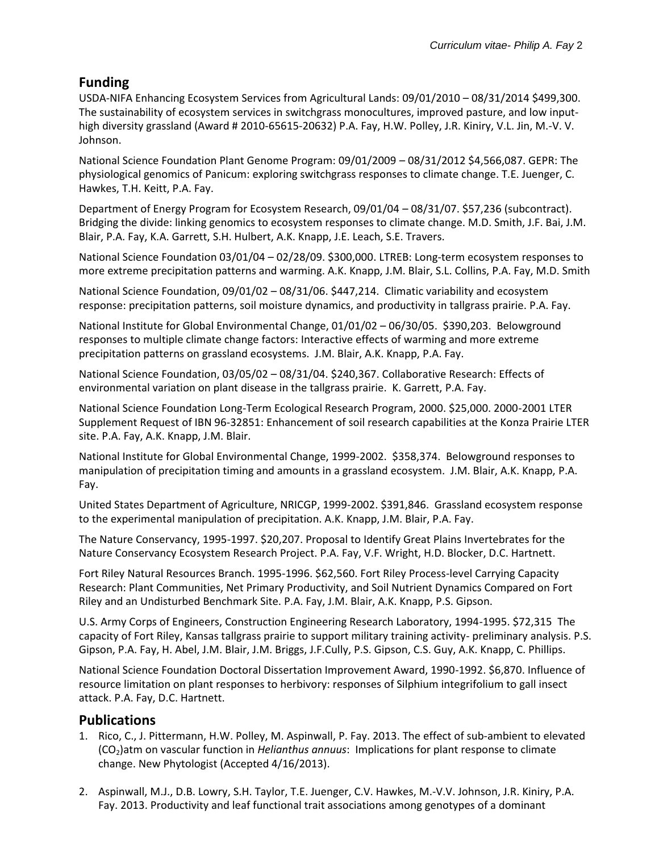# **Funding**

USDA-NIFA Enhancing Ecosystem Services from Agricultural Lands: 09/01/2010 – 08/31/2014 \$499,300. The sustainability of ecosystem services in switchgrass monocultures, improved pasture, and low inputhigh diversity grassland (Award # 2010-65615-20632) P.A. Fay, H.W. Polley, J.R. Kiniry, V.L. Jin, M.-V. V. Johnson.

National Science Foundation Plant Genome Program: 09/01/2009 – 08/31/2012 \$4,566,087. GEPR: The physiological genomics of Panicum: exploring switchgrass responses to climate change. T.E. Juenger, C. Hawkes, T.H. Keitt, P.A. Fay.

Department of Energy Program for Ecosystem Research, 09/01/04 – 08/31/07. \$57,236 (subcontract). Bridging the divide: linking genomics to ecosystem responses to climate change. M.D. Smith, J.F. Bai, J.M. Blair, P.A. Fay, K.A. Garrett, S.H. Hulbert, A.K. Knapp, J.E. Leach, S.E. Travers.

National Science Foundation 03/01/04 – 02/28/09. \$300,000. LTREB: Long-term ecosystem responses to more extreme precipitation patterns and warming. A.K. Knapp, J.M. Blair, S.L. Collins, P.A. Fay, M.D. Smith

National Science Foundation, 09/01/02 – 08/31/06. \$447,214. Climatic variability and ecosystem response: precipitation patterns, soil moisture dynamics, and productivity in tallgrass prairie. P.A. Fay.

National Institute for Global Environmental Change, 01/01/02 – 06/30/05. \$390,203. Belowground responses to multiple climate change factors: Interactive effects of warming and more extreme precipitation patterns on grassland ecosystems. J.M. Blair, A.K. Knapp, P.A. Fay.

National Science Foundation, 03/05/02 – 08/31/04. \$240,367. Collaborative Research: Effects of environmental variation on plant disease in the tallgrass prairie. K. Garrett, P.A. Fay.

National Science Foundation Long-Term Ecological Research Program, 2000. \$25,000. 2000-2001 LTER Supplement Request of IBN 96-32851: Enhancement of soil research capabilities at the Konza Prairie LTER site. P.A. Fay, A.K. Knapp, J.M. Blair.

National Institute for Global Environmental Change, 1999-2002. \$358,374. Belowground responses to manipulation of precipitation timing and amounts in a grassland ecosystem. J.M. Blair, A.K. Knapp, P.A. Fay.

United States Department of Agriculture, NRICGP, 1999-2002. \$391,846. Grassland ecosystem response to the experimental manipulation of precipitation. A.K. Knapp, J.M. Blair, P.A. Fay.

The Nature Conservancy, 1995-1997. \$20,207. Proposal to Identify Great Plains Invertebrates for the Nature Conservancy Ecosystem Research Project. P.A. Fay, V.F. Wright, H.D. Blocker, D.C. Hartnett.

Fort Riley Natural Resources Branch. 1995-1996. \$62,560. Fort Riley Process-level Carrying Capacity Research: Plant Communities, Net Primary Productivity, and Soil Nutrient Dynamics Compared on Fort Riley and an Undisturbed Benchmark Site. P.A. Fay, J.M. Blair, A.K. Knapp, P.S. Gipson.

U.S. Army Corps of Engineers, Construction Engineering Research Laboratory, 1994-1995. \$72,315 The capacity of Fort Riley, Kansas tallgrass prairie to support military training activity- preliminary analysis. P.S. Gipson, P.A. Fay, H. Abel, J.M. Blair, J.M. Briggs, J.F.Cully, P.S. Gipson, C.S. Guy, A.K. Knapp, C. Phillips.

National Science Foundation Doctoral Dissertation Improvement Award, 1990-1992. \$6,870. Influence of resource limitation on plant responses to herbivory: responses of Silphium integrifolium to gall insect attack. P.A. Fay, D.C. Hartnett.

#### **Publications**

- 1. Rico, C., J. Pittermann, H.W. Polley, M. Aspinwall, P. Fay. 2013. The effect of sub-ambient to elevated (CO2)atm on vascular function in *Helianthus annuus*: Implications for plant response to climate change. New Phytologist (Accepted 4/16/2013).
- 2. Aspinwall, M.J., D.B. Lowry, S.H. Taylor, T.E. Juenger, C.V. Hawkes, M.-V.V. Johnson, J.R. Kiniry, P.A. Fay. 2013. Productivity and leaf functional trait associations among genotypes of a dominant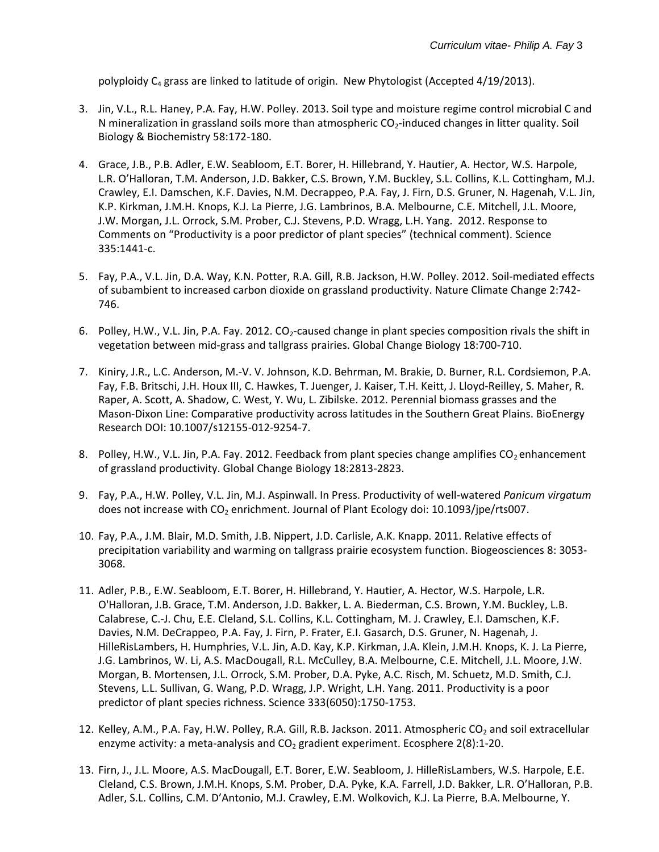polyploidy C<sub>4</sub> grass are linked to latitude of origin. New Phytologist (Accepted 4/19/2013).

- 3. Jin, V.L., R.L. Haney, P.A. Fay, H.W. Polley. 2013. Soil type and moisture regime control microbial C and N mineralization in grassland soils more than atmospheric  $CO<sub>2</sub>$ -induced changes in litter quality. Soil Biology & Biochemistry 58:172-180.
- 4. Grace, J.B., P.B. Adler, E.W. Seabloom, E.T. Borer, H. Hillebrand, Y. Hautier, A. Hector, W.S. Harpole, L.R. O'Halloran, T.M. Anderson, J.D. Bakker, C.S. Brown, Y.M. Buckley, S.L. Collins, K.L. Cottingham, M.J. Crawley, E.I. Damschen, K.F. Davies, N.M. Decrappeo, P.A. Fay, J. Firn, D.S. Gruner, N. Hagenah, V.L. Jin, K.P. Kirkman, J.M.H. Knops, K.J. La Pierre, J.G. Lambrinos, B.A. Melbourne, C.E. Mitchell, J.L. Moore, J.W. Morgan, J.L. Orrock, S.M. Prober, C.J. Stevens, P.D. Wragg, L.H. Yang. 2012. Response to Comments on "Productivity is a poor predictor of plant species" (technical comment). Science 335:1441-c.
- 5. Fay, P.A., V.L. Jin, D.A. Way, K.N. Potter, R.A. Gill, R.B. Jackson, H.W. Polley. 2012. Soil-mediated effects of subambient to increased carbon dioxide on grassland productivity. Nature Climate Change 2:742- 746.
- 6. Polley, H.W., V.L. Jin, P.A. Fay. 2012.  $CO_2$ -caused change in plant species composition rivals the shift in vegetation between mid-grass and tallgrass prairies. Global Change Biology 18:700-710.
- 7. Kiniry, J.R., L.C. Anderson, M.-V. V. Johnson, K.D. Behrman, M. Brakie, D. Burner, R.L. Cordsiemon, P.A. Fay, F.B. Britschi, J.H. Houx III, C. Hawkes, T. Juenger, J. Kaiser, T.H. Keitt, J. Lloyd-Reilley, S. Maher, R. Raper, A. Scott, A. Shadow, C. West, Y. Wu, L. Zibilske. 2012. Perennial biomass grasses and the Mason-Dixon Line: Comparative productivity across latitudes in the Southern Great Plains. BioEnergy Research DOI: 10.1007/s12155-012-9254-7.
- 8. Polley, H.W., V.L. Jin, P.A. Fay. 2012. Feedback from plant species change amplifies CO<sub>2</sub> enhancement of grassland productivity. Global Change Biology 18:2813-2823.
- 9. Fay, P.A., H.W. Polley, V.L. Jin, M.J. Aspinwall. In Press. Productivity of well-watered *Panicum virgatum* does not increase with CO<sub>2</sub> enrichment. Journal of Plant Ecology doi: 10.1093/jpe/rts007.
- 10. Fay, P.A., J.M. Blair, M.D. Smith, J.B. Nippert, J.D. Carlisle, A.K. Knapp. 2011. Relative effects of precipitation variability and warming on tallgrass prairie ecosystem function. Biogeosciences 8: 3053- 3068.
- 11. Adler, P.B., E.W. Seabloom, E.T. Borer, H. Hillebrand, Y. Hautier, A. Hector, W.S. Harpole, L.R. O'Halloran, J.B. Grace, T.M. Anderson, J.D. Bakker, L. A. Biederman, C.S. Brown, Y.M. Buckley, L.B. Calabrese, C.-J. Chu, E.E. Cleland, S.L. Collins, K.L. Cottingham, M. J. Crawley, E.I. Damschen, K.F. Davies, N.M. DeCrappeo, P.A. Fay, J. Firn, P. Frater, E.I. Gasarch, D.S. Gruner, N. Hagenah, J. HilleRisLambers, H. Humphries, V.L. Jin, A.D. Kay, K.P. Kirkman, J.A. Klein, J.M.H. Knops, K. J. La Pierre, J.G. Lambrinos, W. Li, A.S. MacDougall, R.L. McCulley, B.A. Melbourne, C.E. Mitchell, J.L. Moore, J.W. Morgan, B. Mortensen, J.L. Orrock, S.M. Prober, D.A. Pyke, A.C. Risch, M. Schuetz, M.D. Smith, C.J. Stevens, L.L. Sullivan, G. Wang, P.D. Wragg, J.P. Wright, L.H. Yang. 2011. Productivity is a poor predictor of plant species richness. Science 333(6050):1750-1753.
- 12. Kelley, A.M., P.A. Fay, H.W. Polley, R.A. Gill, R.B. Jackson. 2011. Atmospheric  $CO<sub>2</sub>$  and soil extracellular enzyme activity: a meta-analysis and  $CO<sub>2</sub>$  gradient experiment. Ecosphere 2(8):1-20.
- 13. Firn, J., J.L. Moore, A.S. MacDougall, E.T. Borer, E.W. Seabloom, J. HilleRisLambers, W.S. Harpole, E.E. Cleland, C.S. Brown, J.M.H. Knops, S.M. Prober, D.A. Pyke, K.A. Farrell, J.D. Bakker, L.R. O'Halloran, P.B. Adler, S.L. Collins, C.M. D'Antonio, M.J. Crawley, E.M. Wolkovich, K.J. La Pierre, B.A.Melbourne, Y.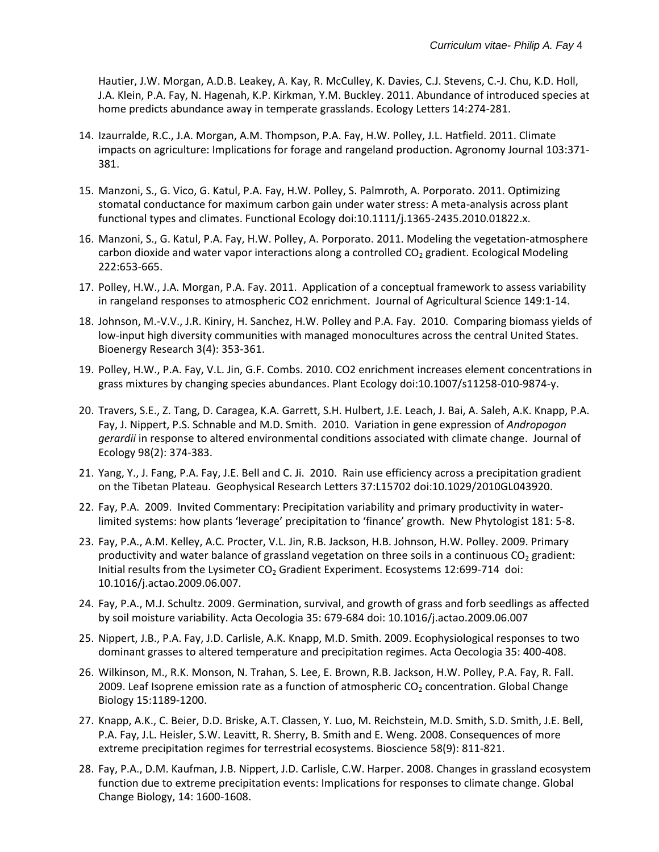Hautier, J.W. Morgan, A.D.B. Leakey, A. Kay, R. McCulley, K. Davies, C.J. Stevens, C.-J. Chu, K.D. Holl, J.A. Klein, P.A. Fay, N. Hagenah, K.P. Kirkman, Y.M. Buckley. 2011. Abundance of introduced species at home predicts abundance away in temperate grasslands. Ecology Letters 14:274-281.

- 14. Izaurralde, R.C., J.A. Morgan, A.M. Thompson, P.A. Fay, H.W. Polley, J.L. Hatfield. 2011. Climate impacts on agriculture: Implications for forage and rangeland production. Agronomy Journal 103:371- 381.
- 15. Manzoni, S., G. Vico, G. Katul, P.A. Fay, H.W. Polley, S. Palmroth, A. Porporato. 2011. Optimizing stomatal conductance for maximum carbon gain under water stress: A meta-analysis across plant functional types and climates. Functional Ecology doi:10.1111/j.1365-2435.2010.01822.x.
- 16. Manzoni, S., G. Katul, P.A. Fay, H.W. Polley, A. Porporato. 2011. Modeling the vegetation-atmosphere carbon dioxide and water vapor interactions along a controlled  $CO<sub>2</sub>$  gradient. Ecological Modeling 222:653-665.
- 17. Polley, H.W., J.A. Morgan, P.A. Fay. 2011. Application of a conceptual framework to assess variability in rangeland responses to atmospheric CO2 enrichment. Journal of Agricultural Science 149:1-14.
- 18. Johnson, M.-V.V., J.R. Kiniry, H. Sanchez, H.W. Polley and P.A. Fay. 2010. Comparing biomass yields of low-input high diversity communities with managed monocultures across the central United States. Bioenergy Research 3(4): 353-361.
- 19. Polley, H.W., P.A. Fay, V.L. Jin, G.F. Combs. 2010. CO2 enrichment increases element concentrations in grass mixtures by changing species abundances. Plant Ecology doi:10.1007/s11258-010-9874-y.
- 20. Travers, S.E., Z. Tang, D. Caragea, K.A. Garrett, S.H. Hulbert, J.E. Leach, J. Bai, A. Saleh, A.K. Knapp, P.A. Fay, J. Nippert, P.S. Schnable and M.D. Smith. 2010. Variation in gene expression of *Andropogon gerardii* in response to altered environmental conditions associated with climate change. Journal of Ecology 98(2): 374-383.
- 21. Yang, Y., J. Fang, P.A. Fay, J.E. Bell and C. Ji. 2010. Rain use efficiency across a precipitation gradient on the Tibetan Plateau. Geophysical Research Letters 37:L15702 doi:10.1029/2010GL043920.
- 22. Fay, P.A. 2009. Invited Commentary: Precipitation variability and primary productivity in waterlimited systems: how plants 'leverage' precipitation to 'finance' growth. New Phytologist 181: 5-8.
- 23. Fay, P.A., A.M. Kelley, A.C. Procter, V.L. Jin, R.B. Jackson, H.B. Johnson, H.W. Polley. 2009. Primary productivity and water balance of grassland vegetation on three soils in a continuous  $CO<sub>2</sub>$  gradient: Initial results from the Lysimeter  $CO<sub>2</sub>$  Gradient Experiment. Ecosystems 12:699-714 doi: 10.1016/j.actao.2009.06.007.
- 24. Fay, P.A., M.J. Schultz. 2009. Germination, survival, and growth of grass and forb seedlings as affected by soil moisture variability. Acta Oecologia 35: 679-684 doi: 10.1016/j.actao.2009.06.007
- 25. Nippert, J.B., P.A. Fay, J.D. Carlisle, A.K. Knapp, M.D. Smith. 2009. Ecophysiological responses to two dominant grasses to altered temperature and precipitation regimes. Acta Oecologia 35: 400-408.
- 26. Wilkinson, M., R.K. Monson, N. Trahan, S. Lee, E. Brown, R.B. Jackson, H.W. Polley, P.A. Fay, R. Fall. 2009. Leaf Isoprene emission rate as a function of atmospheric  $CO<sub>2</sub>$  concentration. Global Change Biology 15:1189-1200.
- 27. Knapp, A.K., C. Beier, D.D. Briske, A.T. Classen, Y. Luo, M. Reichstein, M.D. Smith, S.D. Smith, J.E. Bell, P.A. Fay, J.L. Heisler, S.W. Leavitt, R. Sherry, B. Smith and E. Weng. 2008. Consequences of more extreme precipitation regimes for terrestrial ecosystems. Bioscience 58(9): 811-821.
- 28. Fay, P.A., D.M. Kaufman, J.B. Nippert, J.D. Carlisle, C.W. Harper. 2008. Changes in grassland ecosystem function due to extreme precipitation events: Implications for responses to climate change. Global Change Biology, 14: 1600-1608.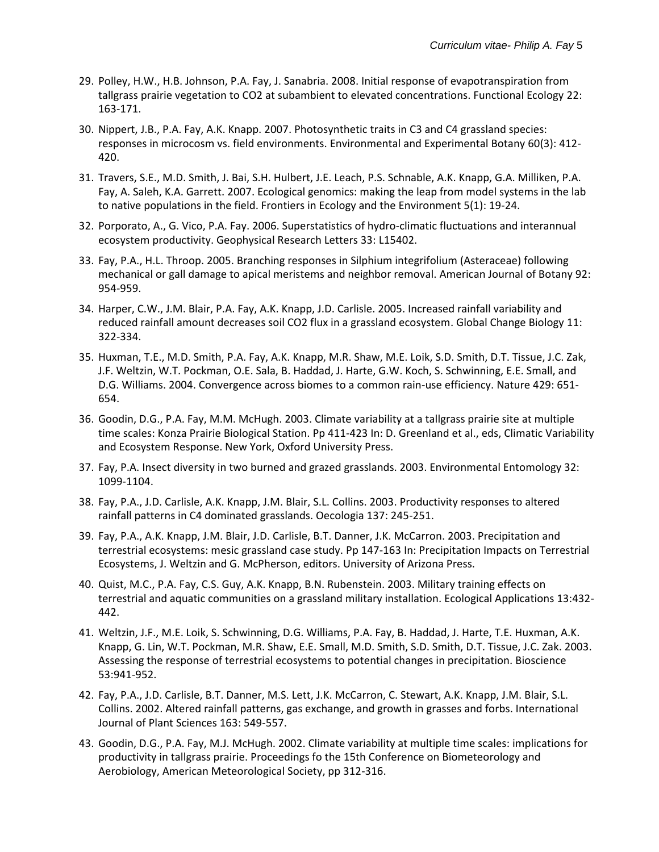- 29. Polley, H.W., H.B. Johnson, P.A. Fay, J. Sanabria. 2008. Initial response of evapotranspiration from tallgrass prairie vegetation to CO2 at subambient to elevated concentrations. Functional Ecology 22: 163-171.
- 30. Nippert, J.B., P.A. Fay, A.K. Knapp. 2007. Photosynthetic traits in C3 and C4 grassland species: responses in microcosm vs. field environments. Environmental and Experimental Botany 60(3): 412- 420.
- 31. Travers, S.E., M.D. Smith, J. Bai, S.H. Hulbert, J.E. Leach, P.S. Schnable, A.K. Knapp, G.A. Milliken, P.A. Fay, A. Saleh, K.A. Garrett. 2007. Ecological genomics: making the leap from model systems in the lab to native populations in the field. Frontiers in Ecology and the Environment 5(1): 19-24.
- 32. Porporato, A., G. Vico, P.A. Fay. 2006. Superstatistics of hydro-climatic fluctuations and interannual ecosystem productivity. Geophysical Research Letters 33: L15402.
- 33. Fay, P.A., H.L. Throop. 2005. Branching responses in Silphium integrifolium (Asteraceae) following mechanical or gall damage to apical meristems and neighbor removal. American Journal of Botany 92: 954-959.
- 34. Harper, C.W., J.M. Blair, P.A. Fay, A.K. Knapp, J.D. Carlisle. 2005. Increased rainfall variability and reduced rainfall amount decreases soil CO2 flux in a grassland ecosystem. Global Change Biology 11: 322-334.
- 35. Huxman, T.E., M.D. Smith, P.A. Fay, A.K. Knapp, M.R. Shaw, M.E. Loik, S.D. Smith, D.T. Tissue, J.C. Zak, J.F. Weltzin, W.T. Pockman, O.E. Sala, B. Haddad, J. Harte, G.W. Koch, S. Schwinning, E.E. Small, and D.G. Williams. 2004. Convergence across biomes to a common rain-use efficiency. Nature 429: 651- 654.
- 36. Goodin, D.G., P.A. Fay, M.M. McHugh. 2003. Climate variability at a tallgrass prairie site at multiple time scales: Konza Prairie Biological Station. Pp 411-423 In: D. Greenland et al., eds, Climatic Variability and Ecosystem Response. New York, Oxford University Press.
- 37. Fay, P.A. Insect diversity in two burned and grazed grasslands. 2003. Environmental Entomology 32: 1099-1104.
- 38. Fay, P.A., J.D. Carlisle, A.K. Knapp, J.M. Blair, S.L. Collins. 2003. Productivity responses to altered rainfall patterns in C4 dominated grasslands. Oecologia 137: 245-251.
- 39. Fay, P.A., A.K. Knapp, J.M. Blair, J.D. Carlisle, B.T. Danner, J.K. McCarron. 2003. Precipitation and terrestrial ecosystems: mesic grassland case study. Pp 147-163 In: Precipitation Impacts on Terrestrial Ecosystems, J. Weltzin and G. McPherson, editors. University of Arizona Press.
- 40. Quist, M.C., P.A. Fay, C.S. Guy, A.K. Knapp, B.N. Rubenstein. 2003. Military training effects on terrestrial and aquatic communities on a grassland military installation. Ecological Applications 13:432- 442.
- 41. Weltzin, J.F., M.E. Loik, S. Schwinning, D.G. Williams, P.A. Fay, B. Haddad, J. Harte, T.E. Huxman, A.K. Knapp, G. Lin, W.T. Pockman, M.R. Shaw, E.E. Small, M.D. Smith, S.D. Smith, D.T. Tissue, J.C. Zak. 2003. Assessing the response of terrestrial ecosystems to potential changes in precipitation. Bioscience 53:941-952.
- 42. Fay, P.A., J.D. Carlisle, B.T. Danner, M.S. Lett, J.K. McCarron, C. Stewart, A.K. Knapp, J.M. Blair, S.L. Collins. 2002. Altered rainfall patterns, gas exchange, and growth in grasses and forbs. International Journal of Plant Sciences 163: 549-557.
- 43. Goodin, D.G., P.A. Fay, M.J. McHugh. 2002. Climate variability at multiple time scales: implications for productivity in tallgrass prairie. Proceedings fo the 15th Conference on Biometeorology and Aerobiology, American Meteorological Society, pp 312-316.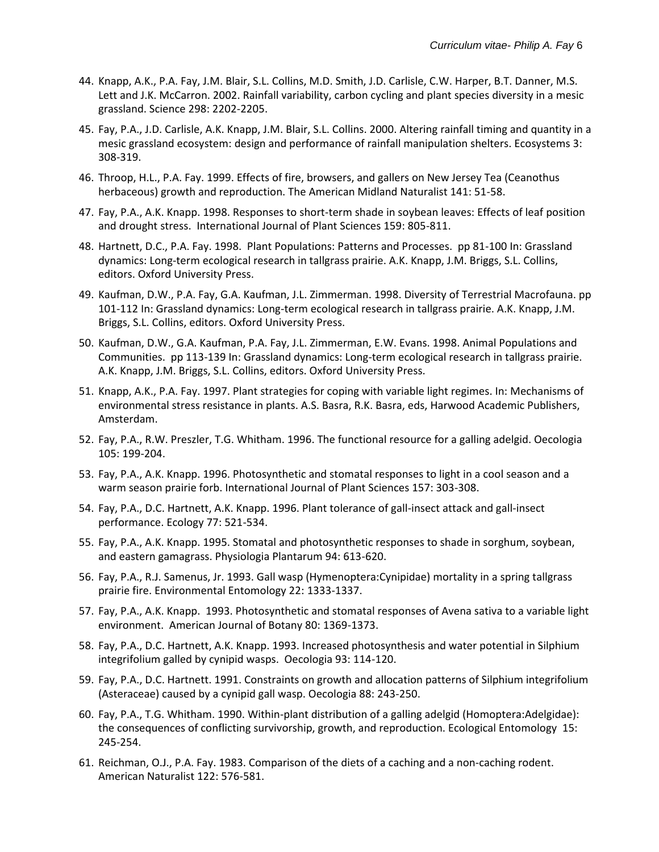- 44. Knapp, A.K., P.A. Fay, J.M. Blair, S.L. Collins, M.D. Smith, J.D. Carlisle, C.W. Harper, B.T. Danner, M.S. Lett and J.K. McCarron. 2002. Rainfall variability, carbon cycling and plant species diversity in a mesic grassland. Science 298: 2202-2205.
- 45. Fay, P.A., J.D. Carlisle, A.K. Knapp, J.M. Blair, S.L. Collins. 2000. Altering rainfall timing and quantity in a mesic grassland ecosystem: design and performance of rainfall manipulation shelters. Ecosystems 3: 308-319.
- 46. Throop, H.L., P.A. Fay. 1999. Effects of fire, browsers, and gallers on New Jersey Tea (Ceanothus herbaceous) growth and reproduction. The American Midland Naturalist 141: 51-58.
- 47. Fay, P.A., A.K. Knapp. 1998. Responses to short-term shade in soybean leaves: Effects of leaf position and drought stress. International Journal of Plant Sciences 159: 805-811.
- 48. Hartnett, D.C., P.A. Fay. 1998. Plant Populations: Patterns and Processes. pp 81-100 In: Grassland dynamics: Long-term ecological research in tallgrass prairie. A.K. Knapp, J.M. Briggs, S.L. Collins, editors. Oxford University Press.
- 49. Kaufman, D.W., P.A. Fay, G.A. Kaufman, J.L. Zimmerman. 1998. Diversity of Terrestrial Macrofauna. pp 101-112 In: Grassland dynamics: Long-term ecological research in tallgrass prairie. A.K. Knapp, J.M. Briggs, S.L. Collins, editors. Oxford University Press.
- 50. Kaufman, D.W., G.A. Kaufman, P.A. Fay, J.L. Zimmerman, E.W. Evans. 1998. Animal Populations and Communities. pp 113-139 In: Grassland dynamics: Long-term ecological research in tallgrass prairie. A.K. Knapp, J.M. Briggs, S.L. Collins, editors. Oxford University Press.
- 51. Knapp, A.K., P.A. Fay. 1997. Plant strategies for coping with variable light regimes. In: Mechanisms of environmental stress resistance in plants. A.S. Basra, R.K. Basra, eds, Harwood Academic Publishers, Amsterdam.
- 52. Fay, P.A., R.W. Preszler, T.G. Whitham. 1996. The functional resource for a galling adelgid. Oecologia 105: 199-204.
- 53. Fay, P.A., A.K. Knapp. 1996. Photosynthetic and stomatal responses to light in a cool season and a warm season prairie forb. International Journal of Plant Sciences 157: 303-308.
- 54. Fay, P.A., D.C. Hartnett, A.K. Knapp. 1996. Plant tolerance of gall-insect attack and gall-insect performance. Ecology 77: 521-534.
- 55. Fay, P.A., A.K. Knapp. 1995. Stomatal and photosynthetic responses to shade in sorghum, soybean, and eastern gamagrass. Physiologia Plantarum 94: 613-620.
- 56. Fay, P.A., R.J. Samenus, Jr. 1993. Gall wasp (Hymenoptera:Cynipidae) mortality in a spring tallgrass prairie fire. Environmental Entomology 22: 1333-1337.
- 57. Fay, P.A., A.K. Knapp. 1993. Photosynthetic and stomatal responses of Avena sativa to a variable light environment. American Journal of Botany 80: 1369-1373.
- 58. Fay, P.A., D.C. Hartnett, A.K. Knapp. 1993. Increased photosynthesis and water potential in Silphium integrifolium galled by cynipid wasps. Oecologia 93: 114-120.
- 59. Fay, P.A., D.C. Hartnett. 1991. Constraints on growth and allocation patterns of Silphium integrifolium (Asteraceae) caused by a cynipid gall wasp. Oecologia 88: 243-250.
- 60. Fay, P.A., T.G. Whitham. 1990. Within-plant distribution of a galling adelgid (Homoptera:Adelgidae): the consequences of conflicting survivorship, growth, and reproduction. Ecological Entomology 15: 245-254.
- 61. Reichman, O.J., P.A. Fay. 1983. Comparison of the diets of a caching and a non-caching rodent. American Naturalist 122: 576-581.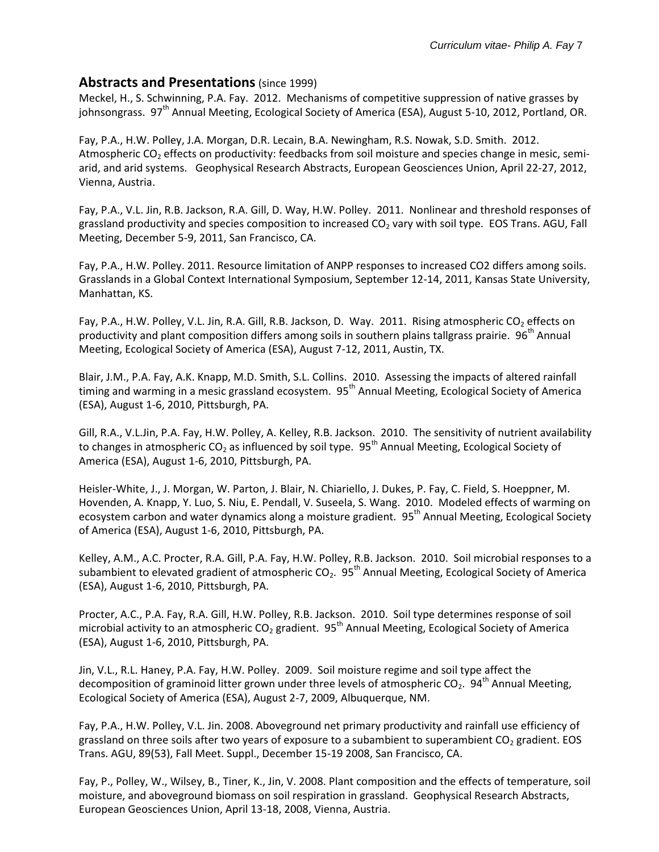#### **Abstracts and Presentations**(since 1999)

Meckel, H., S. Schwinning, P.A. Fay. 2012. Mechanisms of competitive suppression of native grasses by johnsongrass.  $97<sup>th</sup>$  Annual Meeting, Ecological Society of America (ESA), August 5-10, 2012, Portland, OR.

Fay, P.A., H.W. Polley, J.A. Morgan, D.R. Lecain, B.A. Newingham, R.S. Nowak, S.D. Smith. 2012. Atmospheric  $CO<sub>2</sub>$  effects on productivity: feedbacks from soil moisture and species change in mesic, semiarid, and arid systems. Geophysical Research Abstracts, European Geosciences Union, April 22-27, 2012, Vienna, Austria.

Fay, P.A., V.L. Jin, R.B. Jackson, R.A. Gill, D. Way, H.W. Polley. 2011. Nonlinear and threshold responses of grassland productivity and species composition to increased  $CO<sub>2</sub>$  vary with soil type. EOS Trans. AGU, Fall Meeting, December 5-9, 2011, San Francisco, CA.

Fay, P.A., H.W. Polley. 2011. Resource limitation of ANPP responses to increased CO2 differs among soils. Grasslands in a Global Context International Symposium, September 12-14, 2011, Kansas State University, Manhattan, KS.

Fay, P.A., H.W. Polley, V.L. Jin, R.A. Gill, R.B. Jackson, D. Way. 2011. Rising atmospheric CO<sub>2</sub> effects on productivity and plant composition differs among soils in southern plains tallgrass prairie. 96<sup>th</sup> Annual Meeting, Ecological Society of America (ESA), August 7-12, 2011, Austin, TX.

Blair, J.M., P.A. Fay, A.K. Knapp, M.D. Smith, S.L. Collins. 2010. Assessing the impacts of altered rainfall timing and warming in a mesic grassland ecosystem. 95<sup>th</sup> Annual Meeting, Ecological Society of America (ESA), August 1-6, 2010, Pittsburgh, PA.

Gill, R.A., V.L.Jin, P.A. Fay, H.W. Polley, A. Kelley, R.B. Jackson. 2010. The sensitivity of nutrient availability to changes in atmospheric CO<sub>2</sub> as influenced by soil type. 95<sup>th</sup> Annual Meeting, Ecological Society of America (ESA), August 1-6, 2010, Pittsburgh, PA.

Heisler-White, J., J. Morgan, W. Parton, J. Blair, N. Chiariello, J. Dukes, P. Fay, C. Field, S. Hoeppner, M. Hovenden, A. Knapp, Y. Luo, S. Niu, E. Pendall, V. Suseela, S. Wang. 2010. Modeled effects of warming on ecosystem carbon and water dynamics along a moisture gradient. 95<sup>th</sup> Annual Meeting, Ecological Society of America (ESA), August 1-6, 2010, Pittsburgh, PA.

Kelley, A.M., A.C. Procter, R.A. Gill, P.A. Fay, H.W. Polley, R.B. Jackson. 2010. Soil microbial responses to a subambient to elevated gradient of atmospheric  $CO_2$ .  $95<sup>th</sup>$  Annual Meeting, Ecological Society of America (ESA), August 1-6, 2010, Pittsburgh, PA.

Procter, A.C., P.A. Fay, R.A. Gill, H.W. Polley, R.B. Jackson. 2010. Soil type determines response of soil microbial activity to an atmospheric CO<sub>2</sub> gradient. 95<sup>th</sup> Annual Meeting, Ecological Society of America (ESA), August 1-6, 2010, Pittsburgh, PA.

Jin, V.L., R.L. Haney, P.A. Fay, H.W. Polley. 2009. Soil moisture regime and soil type affect the decomposition of graminoid litter grown under three levels of atmospheric CO<sub>2</sub>. 94<sup>th</sup> Annual Meeting, Ecological Society of America (ESA), August 2-7, 2009, Albuquerque, NM.

Fay, P.A., H.W. Polley, V.L. Jin. 2008. Aboveground net primary productivity and rainfall use efficiency of grassland on three soils after two years of exposure to a subambient to superambient  $CO<sub>2</sub>$  gradient. EOS Trans. AGU, 89(53), Fall Meet. Suppl., December 15-19 2008, San Francisco, CA.

Fay, P., Polley, W., Wilsey, B., Tiner, K., Jin, V. 2008. Plant composition and the effects of temperature, soil moisture, and aboveground biomass on soil respiration in grassland. Geophysical Research Abstracts, European Geosciences Union, April 13-18, 2008, Vienna, Austria.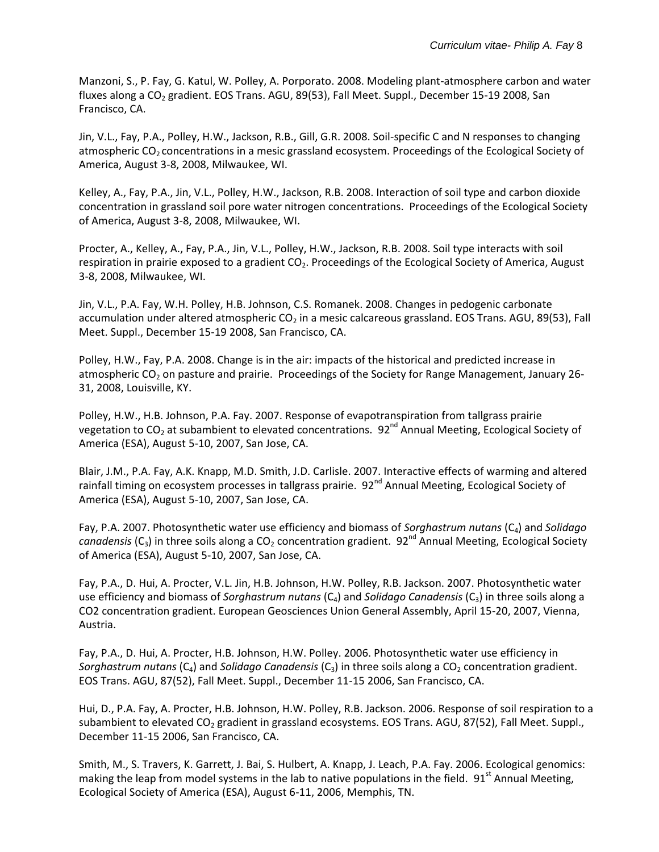Manzoni, S., P. Fay, G. Katul, W. Polley, A. Porporato. 2008. Modeling plant-atmosphere carbon and water fluxes along a  $CO<sub>2</sub>$  gradient. EOS Trans. AGU, 89(53), Fall Meet. Suppl., December 15-19 2008, San Francisco, CA.

Jin, V.L., Fay, P.A., Polley, H.W., Jackson, R.B., Gill, G.R. 2008. Soil-specific C and N responses to changing atmospheric  $CO<sub>2</sub>$  concentrations in a mesic grassland ecosystem. Proceedings of the Ecological Society of America, August 3-8, 2008, Milwaukee, WI.

Kelley, A., Fay, P.A., Jin, V.L., Polley, H.W., Jackson, R.B. 2008. Interaction of soil type and carbon dioxide concentration in grassland soil pore water nitrogen concentrations. Proceedings of the Ecological Society of America, August 3-8, 2008, Milwaukee, WI.

Procter, A., Kelley, A., Fay, P.A., Jin, V.L., Polley, H.W., Jackson, R.B. 2008. Soil type interacts with soil respiration in prairie exposed to a gradient  $CO<sub>2</sub>$ . Proceedings of the Ecological Society of America, August 3-8, 2008, Milwaukee, WI.

Jin, V.L., P.A. Fay, W.H. Polley, H.B. Johnson, C.S. Romanek. 2008. Changes in pedogenic carbonate accumulation under altered atmospheric  $CO<sub>2</sub>$  in a mesic calcareous grassland. EOS Trans. AGU, 89(53), Fall Meet. Suppl., December 15-19 2008, San Francisco, CA.

Polley, H.W., Fay, P.A. 2008. Change is in the air: impacts of the historical and predicted increase in atmospheric CO<sub>2</sub> on pasture and prairie. Proceedings of the Society for Range Management, January 26-31, 2008, Louisville, KY.

Polley, H.W., H.B. Johnson, P.A. Fay. 2007. Response of evapotranspiration from tallgrass prairie vegetation to  $CO_2$  at subambient to elevated concentrations.  $92^{nd}$  Annual Meeting, Ecological Society of America (ESA), August 5-10, 2007, San Jose, CA.

Blair, J.M., P.A. Fay, A.K. Knapp, M.D. Smith, J.D. Carlisle. 2007. Interactive effects of warming and altered rainfall timing on ecosystem processes in tallgrass prairie. 92<sup>nd</sup> Annual Meeting, Ecological Society of America (ESA), August 5-10, 2007, San Jose, CA.

Fay, P.A. 2007. Photosynthetic water use efficiency and biomass of *Sorghastrum nutans* (C<sub>4</sub>) and *Solidago canadensis* (C<sub>3</sub>) in three soils along a CO<sub>2</sub> concentration gradient. 92<sup>nd</sup> Annual Meeting, Ecological Society of America (ESA), August 5-10, 2007, San Jose, CA.

Fay, P.A., D. Hui, A. Procter, V.L. Jin, H.B. Johnson, H.W. Polley, R.B. Jackson. 2007. Photosynthetic water use efficiency and biomass of *Sorghastrum nutans* (C<sub>4</sub>) and *Solidago Canadensis* (C<sub>3</sub>) in three soils along a CO2 concentration gradient. European Geosciences Union General Assembly, April 15-20, 2007, Vienna, Austria.

Fay, P.A., D. Hui, A. Procter, H.B. Johnson, H.W. Polley. 2006. Photosynthetic water use efficiency in *Sorghastrum nutans* (C<sub>4</sub>) and *Solidago Canadensis* (C<sub>3</sub>) in three soils along a CO<sub>2</sub> concentration gradient. EOS Trans. AGU, 87(52), Fall Meet. Suppl., December 11-15 2006, San Francisco, CA.

Hui, D., P.A. Fay, A. Procter, H.B. Johnson, H.W. Polley, R.B. Jackson. 2006. Response of soil respiration to a subambient to elevated CO<sub>2</sub> gradient in grassland ecosystems. EOS Trans. AGU, 87(52), Fall Meet. Suppl., December 11-15 2006, San Francisco, CA.

Smith, M., S. Travers, K. Garrett, J. Bai, S. Hulbert, A. Knapp, J. Leach, P.A. Fay. 2006. Ecological genomics: making the leap from model systems in the lab to native populations in the field. 91<sup>st</sup> Annual Meeting, Ecological Society of America (ESA), August 6-11, 2006, Memphis, TN.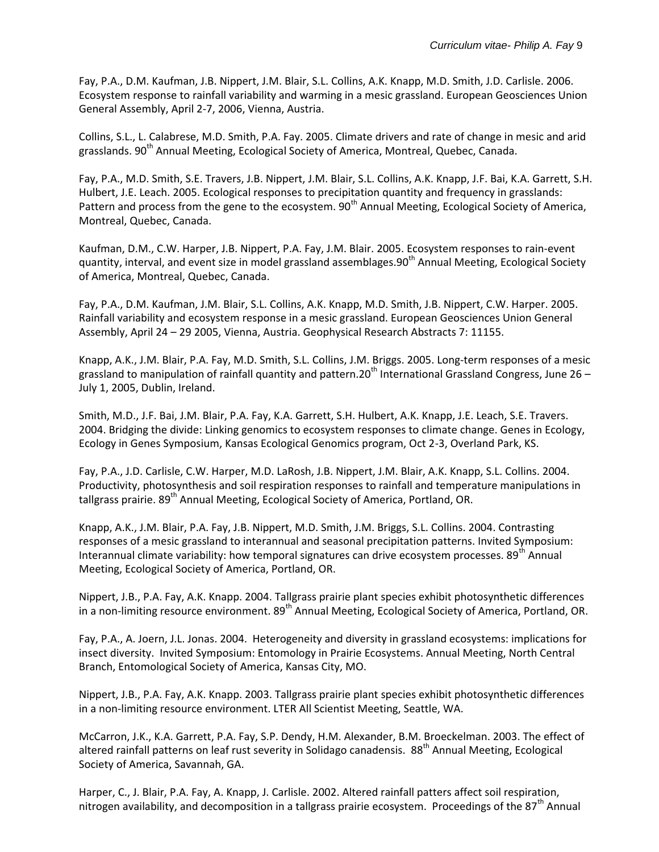Fay, P.A., D.M. Kaufman, J.B. Nippert, J.M. Blair, S.L. Collins, A.K. Knapp, M.D. Smith, J.D. Carlisle. 2006. Ecosystem response to rainfall variability and warming in a mesic grassland. European Geosciences Union General Assembly, April 2-7, 2006, Vienna, Austria.

Collins, S.L., L. Calabrese, M.D. Smith, P.A. Fay. 2005. Climate drivers and rate of change in mesic and arid grasslands. 90<sup>th</sup> Annual Meeting, Ecological Society of America, Montreal, Quebec, Canada.

Fay, P.A., M.D. Smith, S.E. Travers, J.B. Nippert, J.M. Blair, S.L. Collins, A.K. Knapp, J.F. Bai, K.A. Garrett, S.H. Hulbert, J.E. Leach. 2005. Ecological responses to precipitation quantity and frequency in grasslands: Pattern and process from the gene to the ecosystem. 90<sup>th</sup> Annual Meeting, Ecological Society of America, Montreal, Quebec, Canada.

Kaufman, D.M., C.W. Harper, J.B. Nippert, P.A. Fay, J.M. Blair. 2005. Ecosystem responses to rain-event quantity, interval, and event size in model grassland assemblages. $90<sup>th</sup>$  Annual Meeting, Ecological Society of America, Montreal, Quebec, Canada.

Fay, P.A., D.M. Kaufman, J.M. Blair, S.L. Collins, A.K. Knapp, M.D. Smith, J.B. Nippert, C.W. Harper. 2005. Rainfall variability and ecosystem response in a mesic grassland. European Geosciences Union General Assembly, April 24 – 29 2005, Vienna, Austria. Geophysical Research Abstracts 7: 11155.

Knapp, A.K., J.M. Blair, P.A. Fay, M.D. Smith, S.L. Collins, J.M. Briggs. 2005. Long-term responses of a mesic grassland to manipulation of rainfall quantity and pattern. 20<sup>th</sup> International Grassland Congress, June 26 – July 1, 2005, Dublin, Ireland.

Smith, M.D., J.F. Bai, J.M. Blair, P.A. Fay, K.A. Garrett, S.H. Hulbert, A.K. Knapp, J.E. Leach, S.E. Travers. 2004. Bridging the divide: Linking genomics to ecosystem responses to climate change. Genes in Ecology, Ecology in Genes Symposium, Kansas Ecological Genomics program, Oct 2-3, Overland Park, KS.

Fay, P.A., J.D. Carlisle, C.W. Harper, M.D. LaRosh, J.B. Nippert, J.M. Blair, A.K. Knapp, S.L. Collins. 2004. Productivity, photosynthesis and soil respiration responses to rainfall and temperature manipulations in tallgrass prairie. 89<sup>th</sup> Annual Meeting, Ecological Society of America, Portland, OR.

Knapp, A.K., J.M. Blair, P.A. Fay, J.B. Nippert, M.D. Smith, J.M. Briggs, S.L. Collins. 2004. Contrasting responses of a mesic grassland to interannual and seasonal precipitation patterns. Invited Symposium: Interannual climate variability: how temporal signatures can drive ecosystem processes. 89<sup>th</sup> Annual Meeting, Ecological Society of America, Portland, OR.

Nippert, J.B., P.A. Fay, A.K. Knapp. 2004. Tallgrass prairie plant species exhibit photosynthetic differences in a non-limiting resource environment. 89<sup>th</sup> Annual Meeting, Ecological Society of America, Portland, OR.

Fay, P.A., A. Joern, J.L. Jonas. 2004. Heterogeneity and diversity in grassland ecosystems: implications for insect diversity. Invited Symposium: Entomology in Prairie Ecosystems. Annual Meeting, North Central Branch, Entomological Society of America, Kansas City, MO.

Nippert, J.B., P.A. Fay, A.K. Knapp. 2003. Tallgrass prairie plant species exhibit photosynthetic differences in a non-limiting resource environment. LTER All Scientist Meeting, Seattle, WA.

McCarron, J.K., K.A. Garrett, P.A. Fay, S.P. Dendy, H.M. Alexander, B.M. Broeckelman. 2003. The effect of altered rainfall patterns on leaf rust severity in Solidago canadensis. 88<sup>th</sup> Annual Meeting, Ecological Society of America, Savannah, GA.

Harper, C., J. Blair, P.A. Fay, A. Knapp, J. Carlisle. 2002. Altered rainfall patters affect soil respiration, nitrogen availability, and decomposition in a tallgrass prairie ecosystem. Proceedings of the 87<sup>th</sup> Annual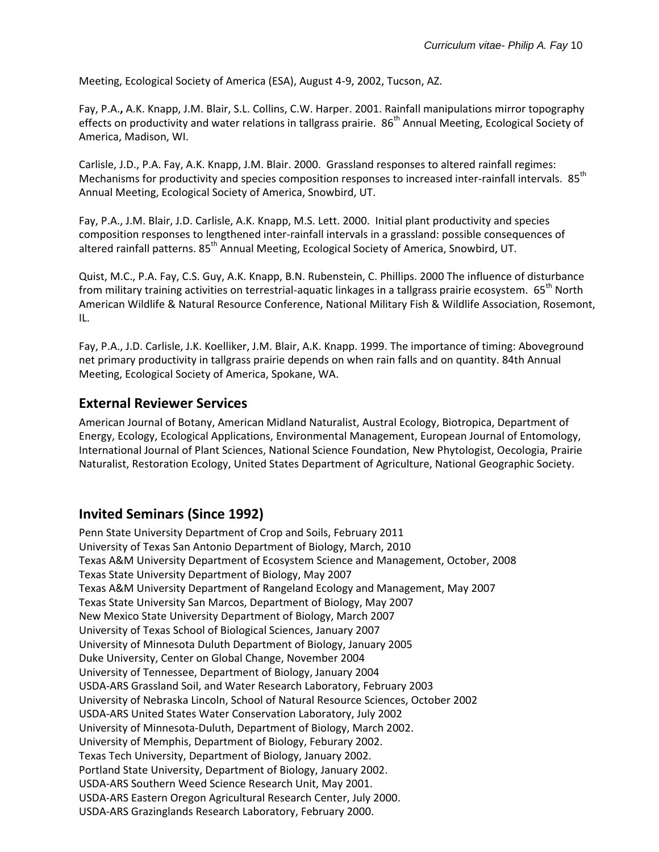Meeting, Ecological Society of America (ESA), August 4-9, 2002, Tucson, AZ.

Fay, P.A.**,** A.K. Knapp, J.M. Blair, S.L. Collins, C.W. Harper. 2001. Rainfall manipulations mirror topography effects on productivity and water relations in tallgrass prairie. 86<sup>th</sup> Annual Meeting, Ecological Society of America, Madison, WI.

Carlisle, J.D., P.A. Fay, A.K. Knapp, J.M. Blair. 2000. Grassland responses to altered rainfall regimes: Mechanisms for productivity and species composition responses to increased inter-rainfall intervals. 85<sup>th</sup> Annual Meeting, Ecological Society of America, Snowbird, UT.

Fay, P.A., J.M. Blair, J.D. Carlisle, A.K. Knapp, M.S. Lett. 2000. Initial plant productivity and species composition responses to lengthened inter-rainfall intervals in a grassland: possible consequences of altered rainfall patterns. 85<sup>th</sup> Annual Meeting, Ecological Society of America, Snowbird, UT.

Quist, M.C., P.A. Fay, C.S. Guy, A.K. Knapp, B.N. Rubenstein, C. Phillips. 2000 The influence of disturbance from military training activities on terrestrial-aquatic linkages in a tallgrass prairie ecosystem.  $65^{th}$  North American Wildlife & Natural Resource Conference, National Military Fish & Wildlife Association, Rosemont, IL.

Fay, P.A., J.D. Carlisle, J.K. Koelliker, J.M. Blair, A.K. Knapp. 1999. The importance of timing: Aboveground net primary productivity in tallgrass prairie depends on when rain falls and on quantity. 84th Annual Meeting, Ecological Society of America, Spokane, WA.

### **External Reviewer Services**

American Journal of Botany, American Midland Naturalist, Austral Ecology, Biotropica, Department of Energy, Ecology, Ecological Applications, Environmental Management, European Journal of Entomology, International Journal of Plant Sciences, National Science Foundation, New Phytologist, Oecologia, Prairie Naturalist, Restoration Ecology, United States Department of Agriculture, National Geographic Society.

## **Invited Seminars (Since 1992)**

Penn State University Department of Crop and Soils, February 2011 University of Texas San Antonio Department of Biology, March, 2010 Texas A&M University Department of Ecosystem Science and Management, October, 2008 Texas State University Department of Biology, May 2007 Texas A&M University Department of Rangeland Ecology and Management, May 2007 Texas State University San Marcos, Department of Biology, May 2007 New Mexico State University Department of Biology, March 2007 University of Texas School of Biological Sciences, January 2007 University of Minnesota Duluth Department of Biology, January 2005 Duke University, Center on Global Change, November 2004 University of Tennessee, Department of Biology, January 2004 USDA-ARS Grassland Soil, and Water Research Laboratory, February 2003 University of Nebraska Lincoln, School of Natural Resource Sciences, October 2002 USDA-ARS United States Water Conservation Laboratory, July 2002 University of Minnesota-Duluth, Department of Biology, March 2002. University of Memphis, Department of Biology, Feburary 2002. Texas Tech University, Department of Biology, January 2002. Portland State University, Department of Biology, January 2002. USDA-ARS Southern Weed Science Research Unit, May 2001. USDA-ARS Eastern Oregon Agricultural Research Center, July 2000. USDA-ARS Grazinglands Research Laboratory, February 2000.